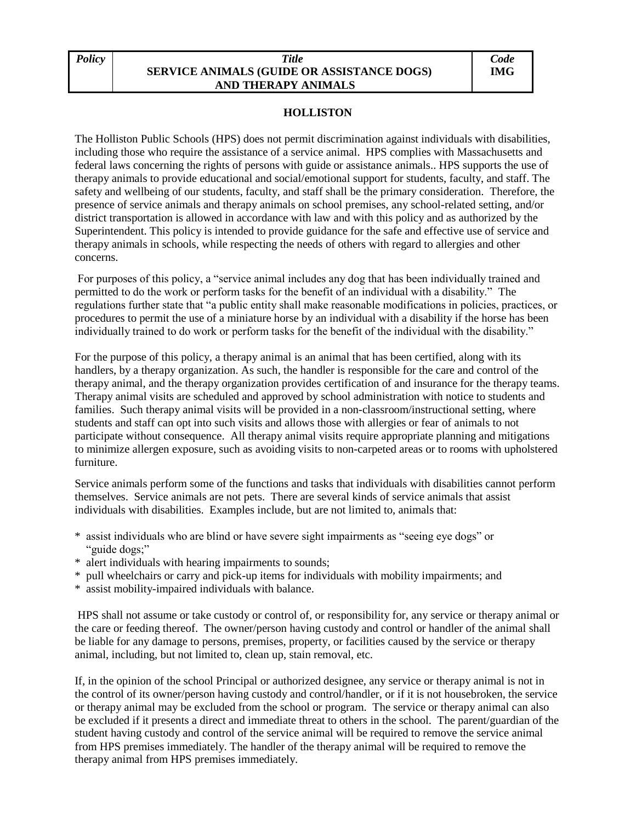## *Policy Title*  **SERVICE ANIMALS (GUIDE OR ASSISTANCE DOGS) AND THERAPY ANIMALS**

## **HOLLISTON**

The Holliston Public Schools (HPS) does not permit discrimination against individuals with disabilities, including those who require the assistance of a service animal. HPS complies with Massachusetts and federal laws concerning the rights of persons with guide or assistance animals.. HPS supports the use of therapy animals to provide educational and social/emotional support for students, faculty, and staff. The safety and wellbeing of our students, faculty, and staff shall be the primary consideration. Therefore, the presence of service animals and therapy animals on school premises, any school-related setting, and/or district transportation is allowed in accordance with law and with this policy and as authorized by the Superintendent. This policy is intended to provide guidance for the safe and effective use of service and therapy animals in schools, while respecting the needs of others with regard to allergies and other concerns.

For purposes of this policy, a "service animal includes any dog that has been individually trained and permitted to do the work or perform tasks for the benefit of an individual with a disability." The regulations further state that "a public entity shall make reasonable modifications in policies, practices, or procedures to permit the use of a miniature horse by an individual with a disability if the horse has been individually trained to do work or perform tasks for the benefit of the individual with the disability."

For the purpose of this policy, a therapy animal is an animal that has been certified, along with its handlers, by a therapy organization. As such, the handler is responsible for the care and control of the therapy animal, and the therapy organization provides certification of and insurance for the therapy teams. Therapy animal visits are scheduled and approved by school administration with notice to students and families. Such therapy animal visits will be provided in a non-classroom/instructional setting, where students and staff can opt into such visits and allows those with allergies or fear of animals to not participate without consequence. All therapy animal visits require appropriate planning and mitigations to minimize allergen exposure, such as avoiding visits to non-carpeted areas or to rooms with upholstered furniture.

Service animals perform some of the functions and tasks that individuals with disabilities cannot perform themselves. Service animals are not pets. There are several kinds of service animals that assist individuals with disabilities. Examples include, but are not limited to, animals that:

- \* assist individuals who are blind or have severe sight impairments as "seeing eye dogs" or "guide dogs;"
- \* alert individuals with hearing impairments to sounds;
- \* pull wheelchairs or carry and pick-up items for individuals with mobility impairments; and
- \* assist mobility-impaired individuals with balance.

HPS shall not assume or take custody or control of, or responsibility for, any service or therapy animal or the care or feeding thereof. The owner/person having custody and control or handler of the animal shall be liable for any damage to persons, premises, property, or facilities caused by the service or therapy animal, including, but not limited to, clean up, stain removal, etc.

If, in the opinion of the school Principal or authorized designee, any service or therapy animal is not in the control of its owner/person having custody and control/handler, or if it is not housebroken, the service or therapy animal may be excluded from the school or program. The service or therapy animal can also be excluded if it presents a direct and immediate threat to others in the school. The parent/guardian of the student having custody and control of the service animal will be required to remove the service animal from HPS premises immediately. The handler of the therapy animal will be required to remove the therapy animal from HPS premises immediately.